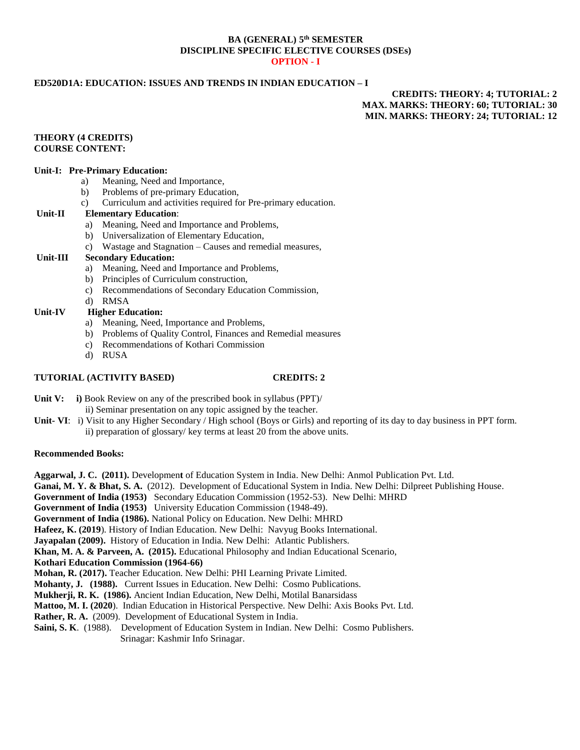## **BA (GENERAL) 5 th SEMESTER DISCIPLINE SPECIFIC ELECTIVE COURSES (DSEs) OPTION - I**

# **ED520D1A: EDUCATION: ISSUES AND TRENDS IN INDIAN EDUCATION – I**

# **CREDITS: THEORY: 4; TUTORIAL: 2 MAX. MARKS: THEORY: 60; TUTORIAL: 30 MIN. MARKS: THEORY: 24; TUTORIAL: 12**

## **THEORY (4 CREDITS) COURSE CONTENT:**

## **Unit-I: Pre-Primary Education:**

- a) Meaning, Need and Importance,
- b) Problems of pre-primary Education,
- c) Curriculum and activities required for Pre-primary education.

## **Unit-II Elementary Education**:

- a) Meaning, Need and Importance and Problems,
- b) Universalization of Elementary Education,
- c) Wastage and Stagnation Causes and remedial measures,

## **Unit-III Secondary Education:**

- a) Meaning, Need and Importance and Problems,
- b) Principles of Curriculum construction,
- c) Recommendations of Secondary Education Commission,
- d) RMSA

# **Unit-IV Higher Education:**

- a) Meaning, Need, Importance and Problems,
- b) Problems of Quality Control, Finances and Remedial measures
- c) Recommendations of Kothari Commission
- d) RUSA

## **TUTORIAL (ACTIVITY BASED) CREDITS: 2**

- **Unit V:** i) Book Review on any of the prescribed book in syllabus (PPT)/ ii) Seminar presentation on any topic assigned by the teacher.
- **Unit- VI**: i) Visit to any Higher Secondary / High school (Boys or Girls) and reporting of its day to day business in PPT form. ii) preparation of glossary/ key terms at least 20 from the above units.

## **Recommended Books:**

**Aggarwal, J. C. (2011).** Developmen**t** of Education System in India. New Delhi: Anmol Publication Pvt. Ltd. **Ganai, M. Y. & Bhat, S. A.** (2012). Development of Educational System in India. New Delhi: Dilpreet Publishing House. **Government of India (1953)** Secondary Education Commission (1952-53). New Delhi: MHRD **Government of India (1953)** University Education Commission (1948-49). **Government of India (1986).** National Policy on Education. New Delhi: MHRD **Hafeez, K. (2019**). History of Indian Education. New Delhi: Navyug Books International. **Jayapalan (2009).** History of Education in India. New Delhi: Atlantic Publishers. **Khan, M. A. & Parveen, A. (2015).** Educational Philosophy and Indian Educational Scenario, **Kothari Education Commission (1964-66) Mohan, R. (2017).** Teacher Education. New Delhi: PHI Learning Private Limited. Mohanty, J. (1988). Current Issues in Education. New Delhi: Cosmo Publications. **Mukherji, R. K. (1986).** Ancient Indian Education, New Delhi, Motilal Banarsidass **Mattoo, M. I. (2020**). Indian Education in Historical Perspective. New Delhi: Axis Books Pvt. Ltd. **Rather, R. A.** (2009). Development of Educational System in India. **Saini, S. K**. (1988). Development of Education System in Indian. New Delhi: Cosmo Publishers. Srinagar: Kashmir Info Srinagar.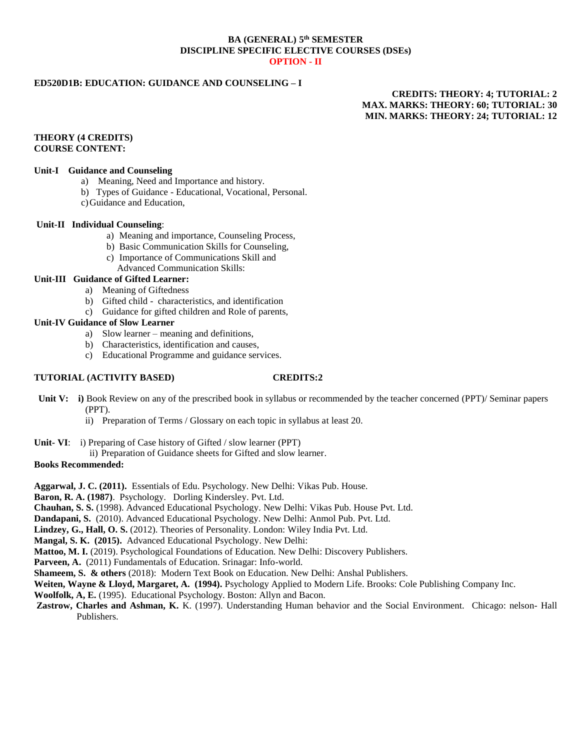## **BA (GENERAL) 5 th SEMESTER DISCIPLINE SPECIFIC ELECTIVE COURSES (DSEs) OPTION - II**

# **ED520D1B: EDUCATION: GUIDANCE AND COUNSELING – I**

# **CREDITS: THEORY: 4; TUTORIAL: 2 MAX. MARKS: THEORY: 60; TUTORIAL: 30 MIN. MARKS: THEORY: 24; TUTORIAL: 12**

## **THEORY (4 CREDITS) COURSE CONTENT:**

## **Unit-I Guidance and Counseling**

- a) Meaning, Need and Importance and history.
- b) Types of Guidance Educational, Vocational, Personal.
- c)Guidance and Education,

## **Unit-II Individual Counseling**:

- a) Meaning and importance, Counseling Process,
- b) Basic Communication Skills for Counseling,
- c) Importance of Communications Skill and
	- Advanced Communication Skills:

# **Unit-III Guidance of Gifted Learner:**

- a) Meaning of Giftedness
- b) Gifted child characteristics, and identification
- c) Guidance for gifted children and Role of parents,

## **Unit-IV Guidance of Slow Learner**

- a) Slow learner meaning and definitions,
- b) Characteristics, identification and causes,
- c) Educational Programme and guidance services.

## **TUTORIAL (ACTIVITY BASED) CREDITS:2**

- **Unit V: i)** Book Review on any of the prescribed book in syllabus or recommended by the teacher concerned (PPT)/ Seminar papers (PPT).
	- ii) Preparation of Terms / Glossary on each topic in syllabus at least 20.
- **Unit- VI**: i) Preparing of Case history of Gifted / slow learner (PPT)
- ii) Preparation of Guidance sheets for Gifted and slow learner.

## **Books Recommended:**

**Aggarwal, J. C. (2011).** Essentials of Edu. Psychology. New Delhi: Vikas Pub. House.

**Baron, R. A. (1987)**. Psychology. Dorling Kindersley. Pvt. Ltd.

**Chauhan, S. S.** (1998). Advanced Educational Psychology. New Delhi: Vikas Pub. House Pvt. Ltd.

**Dandapani, S.** (2010). Advanced Educational Psychology. New Delhi: Anmol Pub. Pvt. Ltd.

**Lindzey, G., Hall, O. S.** (2012). Theories of Personality. London: Wiley India Pvt. Ltd.

**Mangal, S. K. (2015).** Advanced Educational Psychology. New Delhi:

**Mattoo, M. I.** (2019). Psychological Foundations of Education. New Delhi: Discovery Publishers.

Parveen, A. (2011) Fundamentals of Education. Srinagar: Info-world.

**Shameem, S. & others** (2018): Modern Text Book on Education. New Delhi: Anshal Publishers.

**Weiten, Wayne & Lloyd, Margaret, A. (1994).** Psychology Applied to Modern Life. Brooks: Cole Publishing Company Inc.

**Woolfolk, A, E.** (1995). Educational Psychology. Boston: Allyn and Bacon.

**Zastrow, Charles and Ashman, K.** K. (1997). Understanding Human behavior and the Social Environment. Chicago: nelson- Hall Publishers.